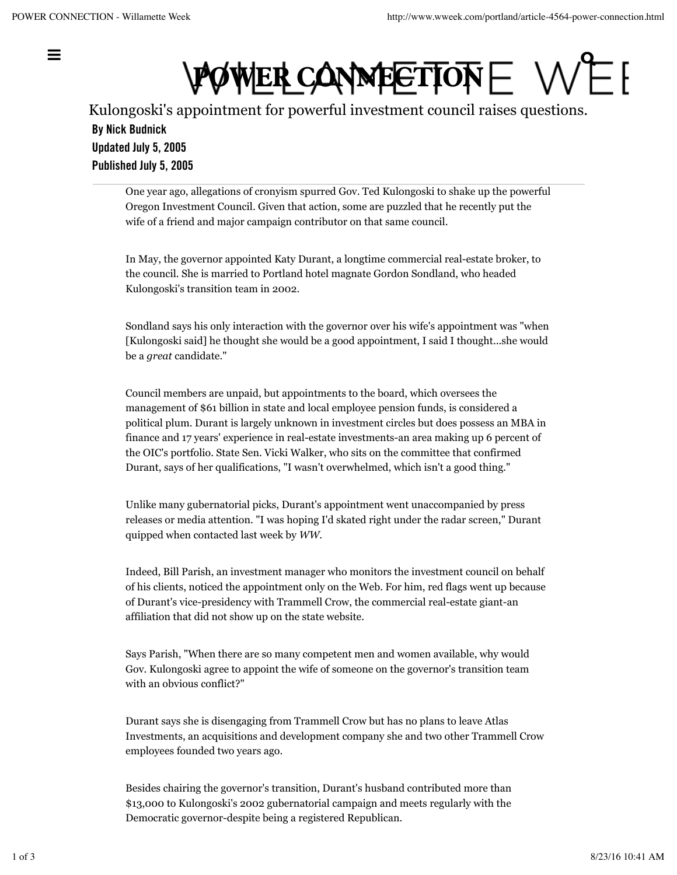**POWER CONNECTION** = ,,,,,,,,,,,,<del>,,,,</del>,,,,,

Kulongoski's appointment for powerful investment council raises questions. By Nick Budnick Updated July 5, 2005 Published July 5, 2005

One year ago, allegations of cronyism spurred Gov. Ted Kulongoski to shake up the powerful Oregon Investment Council. Given that action, some are puzzled that he recently put the wife of a friend and major campaign contributor on that same council.

In May, the governor appointed Katy Durant, a longtime commercial real-estate broker, to the council. She is married to Portland hotel magnate Gordon Sondland, who headed Kulongoski's transition team in 2002.

Sondland says his only interaction with the governor over his wife's appointment was "when [Kulongoski said] he thought she would be a good appointment, I said I thought...she would be a *great* candidate."

Council members are unpaid, but appointments to the board, which oversees the management of \$61 billion in state and local employee pension funds, is considered a political plum. Durant is largely unknown in investment circles but does possess an MBA in finance and 17 years' experience in real-estate investments-an area making up 6 percent of the OIC's portfolio. State Sen. Vicki Walker, who sits on the committee that confirmed Durant, says of her qualifications, "I wasn't overwhelmed, which isn't a good thing."

Unlike many gubernatorial picks, Durant's appointment went unaccompanied by press releases or media attention. "I was hoping I'd skated right under the radar screen," Durant quipped when contacted last week by *WW*.

Indeed, Bill Parish, an investment manager who monitors the investment council on behalf of his clients, noticed the appointment only on the Web. For him, red flags went up because of Durant's vice-presidency with Trammell Crow, the commercial real-estate giant-an affiliation that did not show up on the state website.

Says Parish, "When there are so many competent men and women available, why would Gov. Kulongoski agree to appoint the wife of someone on the governor's transition team with an obvious conflict?"

Durant says she is disengaging from Trammell Crow but has no plans to leave Atlas Investments, an acquisitions and development company she and two other Trammell Crow employees founded two years ago.

Besides chairing the governor's transition, Durant's husband contributed more than \$13,000 to Kulongoski's 2002 gubernatorial campaign and meets regularly with the Democratic governor-despite being a registered Republican.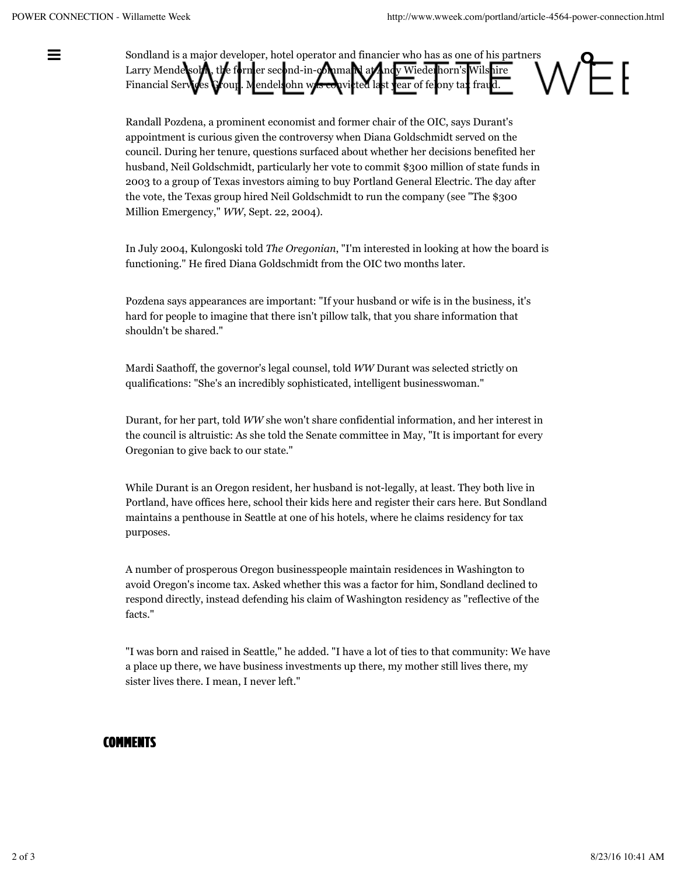Sondland is a major developer, hotel operator and financier who has as one of his partners Larry Mendelsohn, the former second-in-command at Andy Wiederhorn's Wilshire Financial Services Group. Mendels ohn was convicted last year of felony tax fraud.

> Randall Pozdena, a prominent economist and former chair of the OIC, says Durant's appointment is curious given the controversy when Diana Goldschmidt served on the council. During her tenure, questions surfaced about whether her decisions benefited her husband, Neil Goldschmidt, particularly her vote to commit \$300 million of state funds in 2003 to a group of Texas investors aiming to buy Portland General Electric. The day after the vote, the Texas group hired Neil Goldschmidt to run the company (see "The \$300 Million Emergency," *WW*, Sept. 22, 2004).

In July 2004, Kulongoski told *The Oregonian*, "I'm interested in looking at how the board is functioning." He fired Diana Goldschmidt from the OIC two months later.

Pozdena says appearances are important: "If your husband or wife is in the business, it's hard for people to imagine that there isn't pillow talk, that you share information that shouldn't be shared."

Mardi Saathoff, the governor's legal counsel, told *WW* Durant was selected strictly on qualifications: "She's an incredibly sophisticated, intelligent businesswoman."

Durant, for her part, told *WW* she won't share confidential information, and her interest in the council is altruistic: As she told the Senate committee in May, "It is important for every Oregonian to give back to our state."

While Durant is an Oregon resident, her husband is not-legally, at least. They both live in Portland, have offices here, school their kids here and register their cars here. But Sondland maintains a penthouse in Seattle at one of his hotels, where he claims residency for tax purposes.

A number of prosperous Oregon businesspeople maintain residences in Washington to avoid Oregon's income tax. Asked whether this was a factor for him, Sondland declined to respond directly, instead defending his claim of Washington residency as "reflective of the facts."

"I was born and raised in Seattle," he added. "I have a lot of ties to that community: We have a place up there, we have business investments up there, my mother still lives there, my sister lives there. I mean, I never left."

## **COMMENTS**